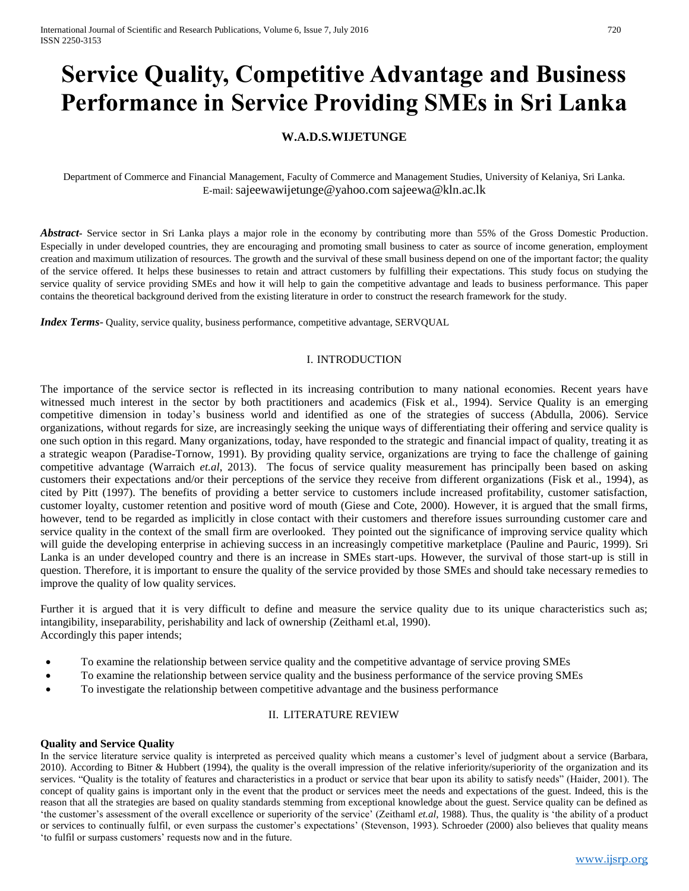# **Service Quality, Competitive Advantage and Business Performance in Service Providing SMEs in Sri Lanka**

## **W.A.D.S.WIJETUNGE**

Department of Commerce and Financial Management, Faculty of Commerce and Management Studies, University of Kelaniya, Sri Lanka. E-mail: [sajeewawijetunge@yahoo.com](mailto:sajeewawijetunge@yahoo.com) [sajeewa@kln.ac.lk](mailto:sajeewa@kln.ac.lk)

*Abstract***-** Service sector in Sri Lanka plays a major role in the economy by contributing more than 55% of the Gross Domestic Production. Especially in under developed countries, they are encouraging and promoting small business to cater as source of income generation, employment creation and maximum utilization of resources. The growth and the survival of these small business depend on one of the important factor; the quality of the service offered. It helps these businesses to retain and attract customers by fulfilling their expectations. This study focus on studying the service quality of service providing SMEs and how it will help to gain the competitive advantage and leads to business performance. This paper contains the theoretical background derived from the existing literature in order to construct the research framework for the study.

*Index Terms*- Quality, service quality, business performance, competitive advantage, SERVQUAL

## I. INTRODUCTION

The importance of the service sector is reflected in its increasing contribution to many national economies. Recent years have witnessed much interest in the sector by both practitioners and academics (Fisk et al., 1994). Service Quality is an emerging competitive dimension in today's business world and identified as one of the strategies of success (Abdulla, 2006). Service organizations, without regards for size, are increasingly seeking the unique ways of differentiating their offering and service quality is one such option in this regard. Many organizations, today, have responded to the strategic and financial impact of quality, treating it as a strategic weapon (Paradise-Tornow, 1991). By providing quality service, organizations are trying to face the challenge of gaining competitive advantage (Warraich *et.al*, 2013). The focus of service quality measurement has principally been based on asking customers their expectations and/or their perceptions of the service they receive from different organizations (Fisk et al., 1994), as cited by Pitt (1997). The benefits of providing a better service to customers include increased profitability, customer satisfaction, customer loyalty, customer retention and positive word of mouth (Giese and Cote, 2000). However, it is argued that the small firms, however, tend to be regarded as implicitly in close contact with their customers and therefore issues surrounding customer care and service quality in the context of the small firm are overlooked. They pointed out the significance of improving service quality which will guide the developing enterprise in achieving success in an increasingly competitive marketplace (Pauline and Pauric, 1999). Sri Lanka is an under developed country and there is an increase in SMEs start-ups. However, the survival of those start-up is still in question. Therefore, it is important to ensure the quality of the service provided by those SMEs and should take necessary remedies to improve the quality of low quality services.

Further it is argued that it is very difficult to define and measure the service quality due to its unique characteristics such as; intangibility, inseparability, perishability and lack of ownership (Zeithaml et.al, 1990). Accordingly this paper intends;

- To examine the relationship between service quality and the competitive advantage of service proving SMEs
- To examine the relationship between service quality and the business performance of the service proving SMEs
- To investigate the relationship between competitive advantage and the business performance

## II. LITERATURE REVIEW

## **Quality and Service Quality**

In the service literature service quality is interpreted as perceived quality which means a customer's level of judgment about a service (Barbara, 2010). According to Bitner & Hubbert (1994), the quality is the overall impression of the relative inferiority/superiority of the organization and its services. "Quality is the totality of features and characteristics in a product or service that bear upon its ability to satisfy needs" (Haider, 2001). The concept of quality gains is important only in the event that the product or services meet the needs and expectations of the guest. Indeed, this is the reason that all the strategies are based on quality standards stemming from exceptional knowledge about the guest. Service quality can be defined as 'the customer's assessment of the overall excellence or superiority of the service' (Zeithaml *et.al*, 1988). Thus, the quality is 'the ability of a product or services to continually fulfil, or even surpass the customer's expectations' (Stevenson, 1993). Schroeder (2000) also believes that quality means 'to fulfil or surpass customers' requests now and in the future.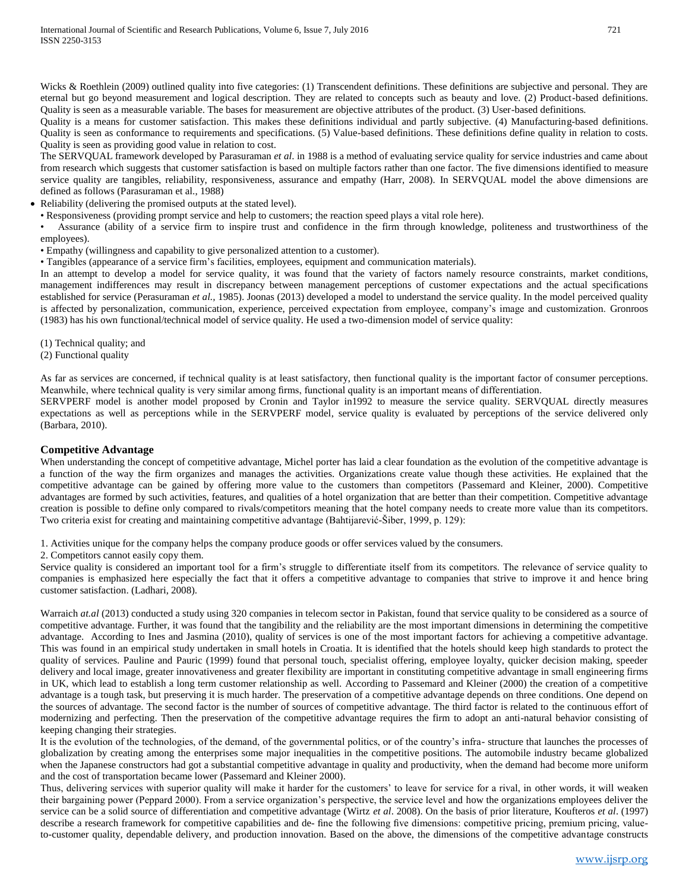Wicks & Roethlein (2009) outlined quality into five categories: (1) Transcendent definitions. These definitions are subjective and personal. They are eternal but go beyond measurement and logical description. They are related to concepts such as beauty and love. (2) Product-based definitions. Quality is seen as a measurable variable. The bases for measurement are objective attributes of the product. (3) User-based definitions.

Quality is a means for customer satisfaction. This makes these definitions individual and partly subjective. (4) Manufacturing-based definitions. Quality is seen as conformance to requirements and specifications. (5) Value-based definitions. These definitions define quality in relation to costs. Quality is seen as providing good value in relation to cost.

The SERVQUAL framework developed by Parasuraman *et al*. in 1988 is a method of evaluating service quality for service industries and came about from research which suggests that customer satisfaction is based on multiple factors rather than one factor. The five dimensions identified to measure service quality are tangibles, reliability, responsiveness, assurance and empathy (Harr, 2008). In SERVQUAL model the above dimensions are defined as follows (Parasuraman et al., 1988)

• Reliability (delivering the promised outputs at the stated level).

• Responsiveness (providing prompt service and help to customers; the reaction speed plays a vital role here).

• Assurance (ability of a service firm to inspire trust and confidence in the firm through knowledge, politeness and trustworthiness of the employees).

• Empathy (willingness and capability to give personalized attention to a customer).

• Tangibles (appearance of a service firm's facilities, employees, equipment and communication materials).

In an attempt to develop a model for service quality, it was found that the variety of factors namely resource constraints, market conditions, management indifferences may result in discrepancy between management perceptions of customer expectations and the actual specifications established for service (Perasuraman *et al.,* 1985). Joonas (2013) developed a model to understand the service quality. In the model perceived quality is affected by personalization, communication, experience, perceived expectation from employee, company's image and customization. Gronroos (1983) has his own functional/technical model of service quality. He used a two-dimension model of service quality:

(1) Technical quality; and

(2) Functional quality

As far as services are concerned, if technical quality is at least satisfactory, then functional quality is the important factor of consumer perceptions. Meanwhile, where technical quality is very similar among firms, functional quality is an important means of differentiation.

SERVPERF model is another model proposed by Cronin and Taylor in1992 to measure the service quality. SERVQUAL directly measures expectations as well as perceptions while in the SERVPERF model, service quality is evaluated by perceptions of the service delivered only (Barbara, 2010).

## **Competitive Advantage**

When understanding the concept of competitive advantage, Michel porter has laid a clear foundation as the evolution of the competitive advantage is a function of the way the firm organizes and manages the activities. Organizations create value though these activities. He explained that the competitive advantage can be gained by offering more value to the customers than competitors (Passemard and Kleiner, 2000). Competitive advantages are formed by such activities, features, and qualities of a hotel organization that are better than their competition. Competitive advantage creation is possible to define only compared to rivals/competitors meaning that the hotel company needs to create more value than its competitors. Two criteria exist for creating and maintaining competitive advantage (Bahtijarević-Šiber, 1999, p. 129):

1. Activities unique for the company helps the company produce goods or offer services valued by the consumers.

2. Competitors cannot easily copy them.

Service quality is considered an important tool for a firm's struggle to differentiate itself from its competitors. The relevance of service quality to companies is emphasized here especially the fact that it offers a competitive advantage to companies that strive to improve it and hence bring customer satisfaction. (Ladhari, 2008).

Warraich *at.al* (2013) conducted a study using 320 companies in telecom sector in Pakistan, found that service quality to be considered as a source of competitive advantage. Further, it was found that the tangibility and the reliability are the most important dimensions in determining the competitive advantage. According to Ines and Jasmina (2010), quality of services is one of the most important factors for achieving a competitive advantage. This was found in an empirical study undertaken in small hotels in Croatia. It is identified that the hotels should keep high standards to protect the quality of services. Pauline and Pauric (1999) found that personal touch, specialist offering, employee loyalty, quicker decision making, speeder delivery and local image, greater innovativeness and greater flexibility are important in constituting competitive advantage in small engineering firms in UK, which lead to establish a long term customer relationship as well. According to Passemard and Kleiner (2000) the creation of a competitive advantage is a tough task, but preserving it is much harder. The preservation of a competitive advantage depends on three conditions. One depend on the sources of advantage. The second factor is the number of sources of competitive advantage. The third factor is related to the continuous effort of modernizing and perfecting. Then the preservation of the competitive advantage requires the firm to adopt an anti-natural behavior consisting of keeping changing their strategies.

It is the evolution of the technologies, of the demand, of the governmental politics, or of the country's infra- structure that launches the processes of globalization by creating among the enterprises some major inequalities in the competitive positions. The automobile industry became globalized when the Japanese constructors had got a substantial competitive advantage in quality and productivity, when the demand had become more uniform and the cost of transportation became lower (Passemard and Kleiner 2000).

Thus, delivering services with superior quality will make it harder for the customers' to leave for service for a rival, in other words, it will weaken their bargaining power (Peppard 2000). From a service organization's perspective, the service level and how the organizations employees deliver the service can be a solid source of differentiation and competitive advantage (Wirtz *et al*. 2008). On the basis of prior literature, Koufteros *et al*. (1997) describe a research framework for competitive capabilities and de- fine the following five dimensions: competitive pricing, premium pricing, valueto-customer quality, dependable delivery, and production innovation. Based on the above, the dimensions of the competitive advantage constructs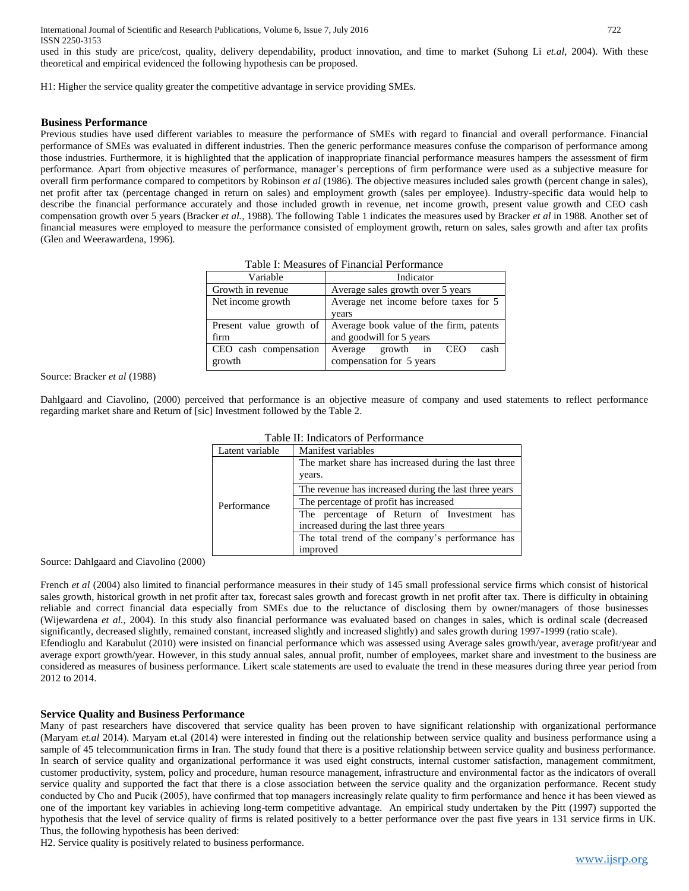International Journal of Scientific and Research Publications, Volume 6, Issue 7, July 2016 722 ISSN 2250-3153

used in this study are price/cost, quality, delivery dependability, product innovation, and time to market (Suhong Li *et.al*, 2004). With these theoretical and empirical evidenced the following hypothesis can be proposed.

H1: Higher the service quality greater the competitive advantage in service providing SMEs.

#### **Business Performance**

Previous studies have used different variables to measure the performance of SMEs with regard to financial and overall performance. Financial performance of SMEs was evaluated in different industries. Then the generic performance measures confuse the comparison of performance among those industries. Furthermore, it is highlighted that the application of inappropriate financial performance measures hampers the assessment of firm performance. Apart from objective measures of performance, manager's perceptions of firm performance were used as a subjective measure for overall firm performance compared to competitors by Robinson *et al* (1986). The objective measures included sales growth (percent change in sales), net profit after tax (percentage changed in return on sales) and employment growth (sales per employee). Industry-specific data would help to describe the financial performance accurately and those included growth in revenue, net income growth, present value growth and CEO cash compensation growth over 5 years (Bracker *et al.,* 1988). The following Table 1 indicates the measures used by Bracker *et al* in 1988. Another set of financial measures were employed to measure the performance consisted of employment growth, return on sales, sales growth and after tax profits (Glen and Weerawardena, 1996).

| Table 1. Measures of Financial Periormance             |                                            |  |  |  |  |  |  |
|--------------------------------------------------------|--------------------------------------------|--|--|--|--|--|--|
| Variable                                               | Indicator                                  |  |  |  |  |  |  |
| Growth in revenue<br>Average sales growth over 5 years |                                            |  |  |  |  |  |  |
| Net income growth                                      | Average net income before taxes for 5      |  |  |  |  |  |  |
|                                                        | years                                      |  |  |  |  |  |  |
| Present value growth of                                | Average book value of the firm, patents    |  |  |  |  |  |  |
| firm                                                   | and goodwill for 5 years                   |  |  |  |  |  |  |
| CEO cash compensation                                  | cash<br>growth in<br><b>CEO</b><br>Average |  |  |  |  |  |  |
| growth                                                 | compensation for 5 years                   |  |  |  |  |  |  |

Table I: Measures of Financial Performance

Source: Bracker *et al* (1988)

Dahlgaard and Ciavolino, (2000) perceived that performance is an objective measure of company and used statements to reflect performance regarding market share and Return of [sic] Investment followed by the Table 2.

| Table II: Indicators of Performance |                                                                |  |  |  |  |  |  |
|-------------------------------------|----------------------------------------------------------------|--|--|--|--|--|--|
| Latent variable                     | Manifest variables                                             |  |  |  |  |  |  |
|                                     | The market share has increased during the last three<br>years. |  |  |  |  |  |  |
|                                     | The revenue has increased during the last three years          |  |  |  |  |  |  |
| Performance                         | The percentage of profit has increased                         |  |  |  |  |  |  |
|                                     | The percentage of Return of Investment has                     |  |  |  |  |  |  |
|                                     | increased during the last three years                          |  |  |  |  |  |  |
|                                     | The total trend of the company's performance has               |  |  |  |  |  |  |
|                                     | improved                                                       |  |  |  |  |  |  |

Source: Dahlgaard and Ciavolino (2000)

French *et al* (2004) also limited to financial performance measures in their study of 145 small professional service firms which consist of historical sales growth, historical growth in net profit after tax, forecast sales growth and forecast growth in net profit after tax. There is difficulty in obtaining reliable and correct financial data especially from SMEs due to the reluctance of disclosing them by owner/managers of those businesses (Wijewardena *et al.,* 2004). In this study also financial performance was evaluated based on changes in sales, which is ordinal scale (decreased significantly, decreased slightly, remained constant, increased slightly and increased slightly) and sales growth during 1997-1999 (ratio scale). Efendioglu and Karabulut (2010) were insisted on financial performance which was assessed using Average sales growth/year, average profit/year and average export growth/year. However, in this study annual sales, annual profit, number of employees, market share and investment to the business are considered as measures of business performance. Likert scale statements are used to evaluate the trend in these measures during three year period from 2012 to 2014.

#### **Service Quality and Business Performance**

Many of past researchers have discovered that service quality has been proven to have significant relationship with organizational performance (Maryam *et.al* 2014). Maryam et.al (2014) were interested in finding out the relationship between service quality and business performance using a sample of 45 telecommunication firms in Iran. The study found that there is a positive relationship between service quality and business performance. In search of service quality and organizational performance it was used eight constructs, internal customer satisfaction, management commitment, customer productivity, system, policy and procedure, human resource management, infrastructure and environmental factor as the indicators of overall service quality and supported the fact that there is a close association between the service quality and the organization performance. Recent study conducted by Cho and Pucik (2005), have confirmed that top managers increasingly relate quality to firm performance and hence it has been viewed as one of the important key variables in achieving long-term competitive advantage. An empirical study undertaken by the Pitt (1997) supported the hypothesis that the level of service quality of firms is related positively to a better performance over the past five years in 131 service firms in UK. Thus, the following hypothesis has been derived:

H2. Service quality is positively related to business performance.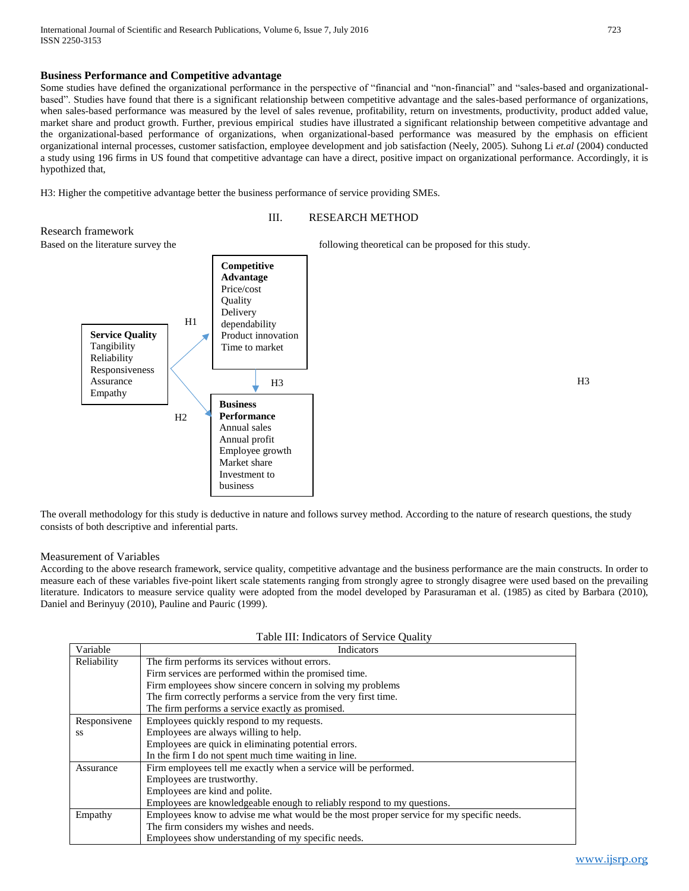## **Business Performance and Competitive advantage**

Some studies have defined the organizational performance in the perspective of "financial and "non-financial" and "sales-based and organizationalbased". Studies have found that there is a significant relationship between competitive advantage and the sales-based performance of organizations, when sales-based performance was measured by the level of sales revenue, profitability, return on investments, productivity, product added value, market share and product growth. Further, previous empirical studies have illustrated a significant relationship between competitive advantage and the organizational-based performance of organizations, when organizational-based performance was measured by the emphasis on efficient organizational internal processes, customer satisfaction, employee development and job satisfaction (Neely, 2005). Suhong Li *et.al* (2004) conducted a study using 196 firms in US found that competitive advantage can have a direct, positive impact on organizational performance. Accordingly, it is hypothized that,

H3: Higher the competitive advantage better the business performance of service providing SMEs.

business



The overall methodology for this study is deductive in nature and follows survey method. According to the nature of research questions, the study consists of both descriptive and inferential parts.

#### Measurement of Variables

According to the above research framework, service quality, competitive advantage and the business performance are the main constructs. In order to measure each of these variables five-point likert scale statements ranging from strongly agree to strongly disagree were used based on the prevailing literature. Indicators to measure service quality were adopted from the model developed by Parasuraman et al. (1985) as cited by Barbara (2010), Daniel and Berinyuy (2010), Pauline and Pauric (1999).

|  |  | Table III: Indicators of Service Quality |  |
|--|--|------------------------------------------|--|
|--|--|------------------------------------------|--|

| Variable     | Indicators                                                                               |  |  |  |  |  |  |  |
|--------------|------------------------------------------------------------------------------------------|--|--|--|--|--|--|--|
| Reliability  | The firm performs its services without errors.                                           |  |  |  |  |  |  |  |
|              | Firm services are performed within the promised time.                                    |  |  |  |  |  |  |  |
|              | Firm employees show sincere concern in solving my problems                               |  |  |  |  |  |  |  |
|              | The firm correctly performs a service from the very first time.                          |  |  |  |  |  |  |  |
|              | The firm performs a service exactly as promised.                                         |  |  |  |  |  |  |  |
| Responsivene | Employees quickly respond to my requests.                                                |  |  |  |  |  |  |  |
| SS.          | Employees are always willing to help.                                                    |  |  |  |  |  |  |  |
|              | Employees are quick in eliminating potential errors.                                     |  |  |  |  |  |  |  |
|              | In the firm I do not spent much time waiting in line.                                    |  |  |  |  |  |  |  |
| Assurance    | Firm employees tell me exactly when a service will be performed.                         |  |  |  |  |  |  |  |
|              | Employees are trustworthy.                                                               |  |  |  |  |  |  |  |
|              | Employees are kind and polite.                                                           |  |  |  |  |  |  |  |
|              | Employees are knowledgeable enough to reliably respond to my questions.                  |  |  |  |  |  |  |  |
| Empathy      | Employees know to advise me what would be the most proper service for my specific needs. |  |  |  |  |  |  |  |
|              | The firm considers my wishes and needs.                                                  |  |  |  |  |  |  |  |
|              | Employees show understanding of my specific needs.                                       |  |  |  |  |  |  |  |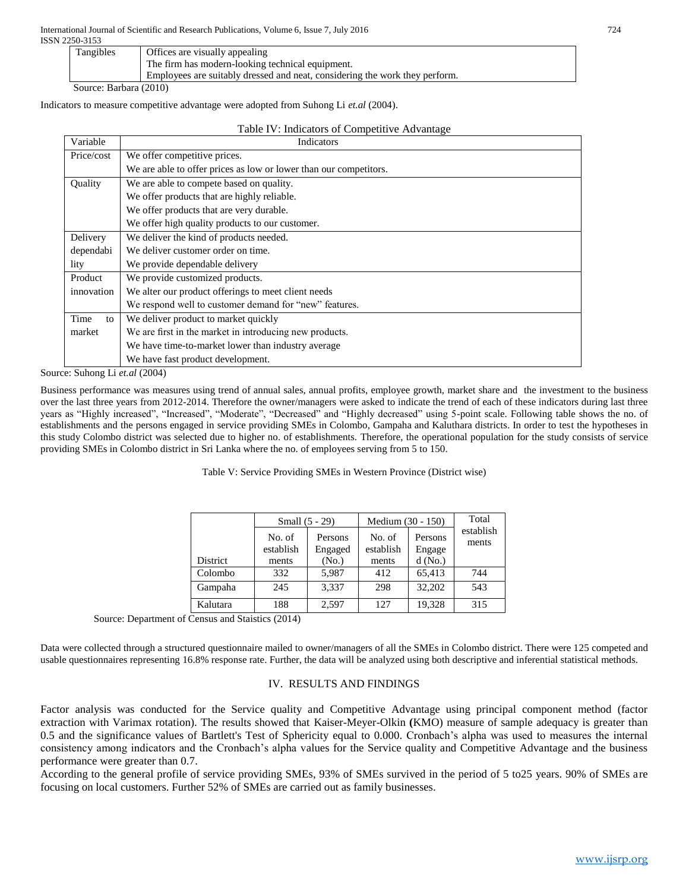ISSN 2250-3153

| Tangibles | Offices are visually appealing                                              |
|-----------|-----------------------------------------------------------------------------|
|           | The firm has modern-looking technical equipment.                            |
|           | Employees are suitably dressed and neat, considering the work they perform. |
|           |                                                                             |

Source: Barbara (2010)

Indicators to measure competitive advantage were adopted from Suhong Li *et.al* (2004).

| Table IV: Indicators of Competitive Advantage |  |
|-----------------------------------------------|--|
|-----------------------------------------------|--|

| Variable   | Indicators                                                        |
|------------|-------------------------------------------------------------------|
| Price/cost | We offer competitive prices.                                      |
|            | We are able to offer prices as low or lower than our competitors. |
| Quality    | We are able to compete based on quality.                          |
|            | We offer products that are highly reliable.                       |
|            | We offer products that are very durable.                          |
|            | We offer high quality products to our customer.                   |
| Delivery   | We deliver the kind of products needed.                           |
| dependabi  | We deliver customer order on time.                                |
| lity       | We provide dependable delivery                                    |
| Product    | We provide customized products.                                   |
| innovation | We alter our product offerings to meet client needs               |
|            | We respond well to customer demand for "new" features.            |
| Time<br>to | We deliver product to market quickly                              |
| market     | We are first in the market in introducing new products.           |
|            | We have time-to-market lower than industry average                |
|            | We have fast product development.                                 |

Source: Suhong Li *et.al* (2004)

Business performance was measures using trend of annual sales, annual profits, employee growth, market share and the investment to the business over the last three years from 2012-2014. Therefore the owner/managers were asked to indicate the trend of each of these indicators during last three years as "Highly increased", "Increased", "Moderate", "Decreased" and "Highly decreased" using 5-point scale. Following table shows the no. of establishments and the persons engaged in service providing SMEs in Colombo, Gampaha and Kaluthara districts. In order to test the hypotheses in this study Colombo district was selected due to higher no. of establishments. Therefore, the operational population for the study consists of service providing SMEs in Colombo district in Sri Lanka where the no. of employees serving from 5 to 150.

Table V: Service Providing SMEs in Western Province (District wise)

|          | Small $(5 - 29)$    |                    | Medium (30 - 150)   |                   | Total              |
|----------|---------------------|--------------------|---------------------|-------------------|--------------------|
|          | No. of<br>establish | Persons<br>Engaged | No. of<br>establish | Persons<br>Engage | establish<br>ments |
| District | ments               | (No.)              | ments               | $d$ (No.)         |                    |
| Colombo  | 332                 | 5,987              | 412                 | 65,413            | 744                |
| Gampaha  | 245                 | 3,337              | 298                 | 32,202            | 543                |
| Kalutara | 188                 | 2,597              | 127                 | 19,328            | 315                |

Source: Department of Census and Staistics (2014)

Data were collected through a structured questionnaire mailed to owner/managers of all the SMEs in Colombo district. There were 125 competed and usable questionnaires representing 16.8% response rate. Further, the data will be analyzed using both descriptive and inferential statistical methods.

## IV. RESULTS AND FINDINGS

Factor analysis was conducted for the Service quality and Competitive Advantage using principal component method (factor extraction with Varimax rotation). The results showed that Kaiser-Meyer-Olkin **(**KMO) measure of sample adequacy is greater than 0.5 and the significance values of Bartlett's Test of Sphericity equal to 0.000. Cronbach's alpha was used to measures the internal consistency among indicators and the Cronbach's alpha values for the Service quality and Competitive Advantage and the business performance were greater than 0.7.

According to the general profile of service providing SMEs, 93% of SMEs survived in the period of 5 to25 years. 90% of SMEs are focusing on local customers. Further 52% of SMEs are carried out as family businesses.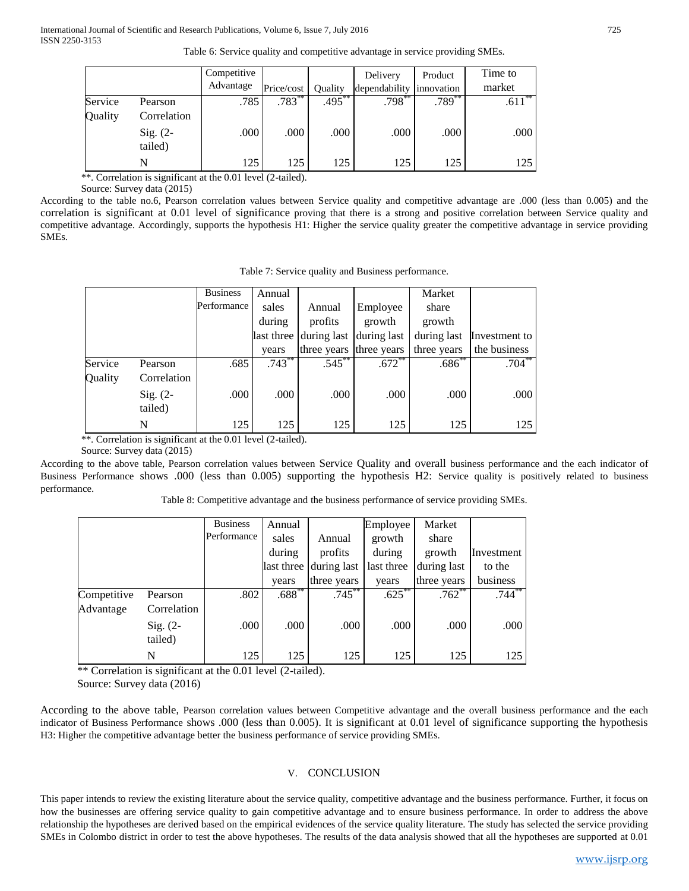| Table 6: Service quality and competitive advantage in service providing SMEs. |  |  |  |
|-------------------------------------------------------------------------------|--|--|--|
|                                                                               |  |  |  |

|         |             | Competitive<br>Advantage | Price/cost | Ouality   | Delivery<br>dependability | Product<br>innovation | Time to<br>market |
|---------|-------------|--------------------------|------------|-----------|---------------------------|-----------------------|-------------------|
|         |             |                          |            |           |                           |                       |                   |
| Service | Pearson     | .785                     | $.783***$  | $.495***$ | $.798***$                 | $.789**$              | $.611***$         |
| Quality | Correlation |                          |            |           |                           |                       |                   |
|         | $Sig. (2-$  | .000                     | .000       | .000      | .000                      | .000                  | .000              |
|         | tailed)     |                          |            |           |                           |                       |                   |
|         |             | 125                      | 125        | 125       | 125                       | 125                   | 125               |

\*\*. Correlation is significant at the 0.01 level (2-tailed).

Source: Survey data (2015)

According to the table no.6, Pearson correlation values between Service quality and competitive advantage are .000 (less than 0.005) and the correlation is significant at 0.01 level of significance proving that there is a strong and positive correlation between Service quality and competitive advantage. Accordingly, supports the hypothesis H1: Higher the service quality greater the competitive advantage in service providing SMEs.

|         |                       | <b>Business</b> | Annual      |                         |             | Market      |               |
|---------|-----------------------|-----------------|-------------|-------------------------|-------------|-------------|---------------|
|         |                       | Performance     | sales       | Annual                  | Employee    | share       |               |
|         |                       |                 | during      | profits                 | growth      | growth      |               |
|         |                       |                 | last three  | during last             | during last | during last | Investment to |
|         |                       |                 | years       | three years three years |             | three years | the business  |
| Service | Pearson               | .685            | $.743^{**}$ | $.545$ **               | $.672$ **   | $.686^{**}$ | $.704***$     |
| Quality | Correlation           |                 |             |                         |             |             |               |
|         | $Sig. (2-$<br>tailed) | .000            | .000        | .000                    | .000        | .000        | .000          |
|         | N                     | 125             | 125         | 125                     | 125         | 125         | 125           |

\*\*. Correlation is significant at the 0.01 level (2-tailed).

Source: Survey data (2015)

According to the above table, Pearson correlation values between Service Quality and overall business performance and the each indicator of Business Performance shows .000 (less than 0.005) supporting the hypothesis H2: Service quality is positively related to business performance.

Table 8: Competitive advantage and the business performance of service providing SMEs.

|             |                       | <b>Business</b> | Annual     |             | Employee   | Market      |            |
|-------------|-----------------------|-----------------|------------|-------------|------------|-------------|------------|
|             |                       | Performance     | sales      | Annual      | growth     | share       |            |
|             |                       |                 | during     | profits     | during     | growth      | Investment |
|             |                       |                 | last three | during last | last three | during last | to the     |
|             |                       |                 | years      | three years | years      | three years | business   |
| Competitive | Pearson               | .802            | $.688***$  | $.745***$   | $.625***$  | $.762$ **   | $.744***$  |
| Advantage   | Correlation           |                 |            |             |            |             |            |
|             | $Sig. (2-$<br>tailed) | .000            | .000       | .000        | .000       | .000        | .000       |
|             | N                     | 125             | 125        | 125         | 125        | 125         | 125        |

\*\* Correlation is significant at the 0.01 level (2-tailed).

Source: Survey data (2016)

According to the above table, Pearson correlation values between Competitive advantage and the overall business performance and the each indicator of Business Performance shows .000 (less than 0.005). It is significant at 0.01 level of significance supporting the hypothesis H3: Higher the competitive advantage better the business performance of service providing SMEs.

## V. CONCLUSION

This paper intends to review the existing literature about the service quality, competitive advantage and the business performance. Further, it focus on how the businesses are offering service quality to gain competitive advantage and to ensure business performance. In order to address the above relationship the hypotheses are derived based on the empirical evidences of the service quality literature. The study has selected the service providing SMEs in Colombo district in order to test the above hypotheses. The results of the data analysis showed that all the hypotheses are supported at 0.01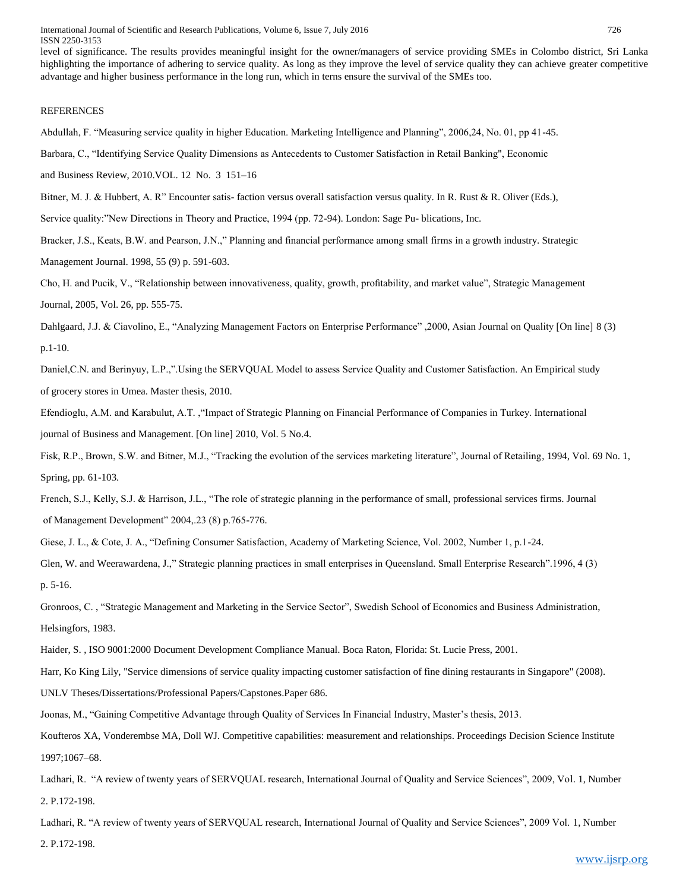level of significance. The results provides meaningful insight for the owner/managers of service providing SMEs in Colombo district, Sri Lanka highlighting the importance of adhering to service quality. As long as they improve the level of service quality they can achieve greater competitive advantage and higher business performance in the long run, which in terns ensure the survival of the SMEs too.

#### **REFERENCES**

Abdullah, F. "Measuring service quality in higher Education. Marketing Intelligence and Planning", 2006,24, No. 01, pp 41-45.

Barbara, C., "Identifying Service Quality Dimensions as Antecedents to Customer Satisfaction in Retail Banking", Economic

and Business Review, 2010.VOL. 12 No. 3 151–16

Bitner, M. J. & Hubbert, A. R" Encounter satis- faction versus overall satisfaction versus quality. In R. Rust & R. Oliver (Eds.),

Service quality:"New Directions in Theory and Practice, 1994 (pp. 72-94). London: Sage Pu- blications, Inc.

Bracker, J.S., Keats, B.W. and Pearson, J.N.," Planning and financial performance among small firms in a growth industry. Strategic

Management Journal. 1998, 55 (9) p. 591-603.

Cho, H. and Pucik, V., "Relationship between innovativeness, quality, growth, profitability, and market value", Strategic Management Journal, 2005, Vol. 26, pp. 555-75.

Dahlgaard, J.J. & Ciavolino, E., "Analyzing Management Factors on Enterprise Performance" ,2000, Asian Journal on Quality [On line] 8 (3) p.1-10.

Daniel,C.N. and Berinyuy, L.P.,".Using the SERVQUAL Model to assess Service Quality and Customer Satisfaction. An Empirical study of grocery stores in Umea. Master thesis, 2010.

Efendioglu, A.M. and Karabulut, A.T. ,"Impact of Strategic Planning on Financial Performance of Companies in Turkey. International journal of Business and Management. [On line] 2010, Vol. 5 No.4.

Fisk, R.P., Brown, S.W. and Bitner, M.J., "Tracking the evolution of the services marketing literature", Journal of Retailing, 1994, Vol. 69 No. 1, Spring, pp. 61-103.

French, S.J., Kelly, S.J. & Harrison, J.L., "The role of strategic planning in the performance of small, professional services firms. Journal of Management Development" 2004,.23 (8) p.765-776.

Giese, J. L., & Cote, J. A., "Defining Consumer Satisfaction, Academy of Marketing Science, Vol. 2002, Number 1, p.1-24.

Glen, W. and Weerawardena, J.," Strategic planning practices in small enterprises in Queensland. Small Enterprise Research".1996, 4 (3) p. 5-16.

Gronroos, C. , "Strategic Management and Marketing in the Service Sector", Swedish School of Economics and Business Administration, Helsingfors, 1983.

Haider, S. , ISO 9001:2000 Document Development Compliance Manual. Boca Raton, Florida: St. Lucie Press, 2001.

Harr, Ko King Lily, "Service dimensions of service quality impacting customer satisfaction of fine dining restaurants in Singapore" (2008).

UNLV Theses/Dissertations/Professional Papers/Capstones.Paper 686.

Joonas, M., "Gaining Competitive Advantage through Quality of Services In Financial Industry, Master's thesis, 2013.

Koufteros XA, Vonderembse MA, Doll WJ. Competitive capabilities: measurement and relationships. Proceedings Decision Science Institute 1997;1067–68.

Ladhari, R. "A review of twenty years of SERVQUAL research, International Journal of Quality and Service Sciences", 2009, Vol. 1, Number 2. P.172-198.

Ladhari, R. "A review of twenty years of SERVQUAL research, International Journal of Quality and Service Sciences", 2009 Vol. 1, Number 2. P.172-198.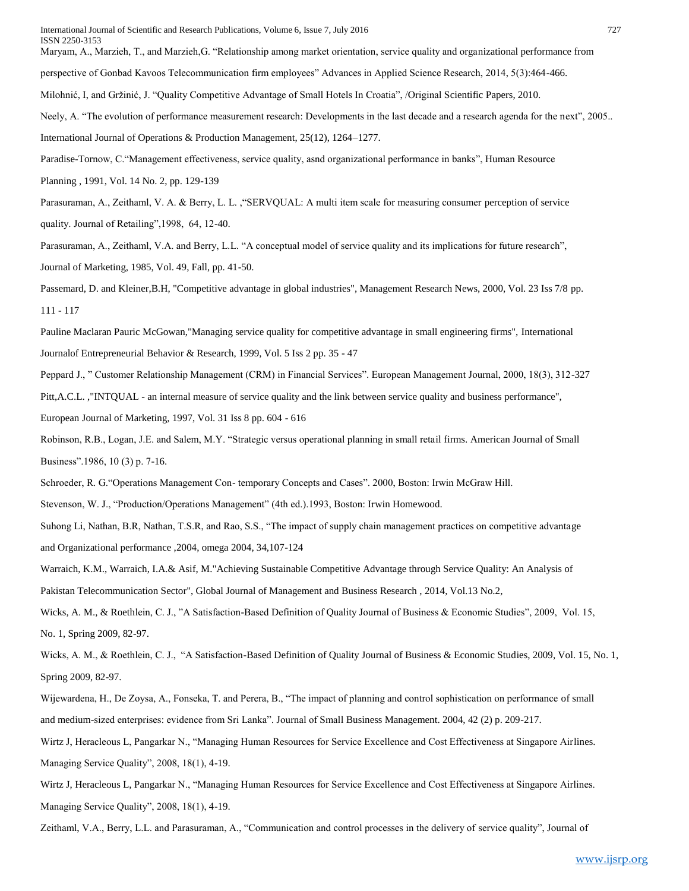International Journal of Scientific and Research Publications, Volume 6, Issue 7, July 2016 727 ISSN 2250-3153

Maryam, A., Marzieh, T., and Marzieh,G. "Relationship among market orientation, service quality and organizational performance from

perspective of Gonbad Kavoos Telecommunication firm employees" Advances in Applied Science Research, 2014, 5(3):464-466.

Milohnić, I, and Gržinić, J. "Quality Competitive Advantage of Small Hotels In Croatia", /Original Scientific Papers, 2010.

Neely, A. "The evolution of performance measurement research: Developments in the last decade and a research agenda for the next", 2005.. International Journal of Operations & Production Management, 25(12), 1264–1277.

Paradise-Tornow, C."Management effectiveness, service quality, asnd organizational performance in banks", Human Resource

Planning , 1991, Vol. 14 No. 2, pp. 129-139

Parasuraman, A., Zeithaml, V. A. & Berry, L. L. ,"SERVQUAL: A multi item scale for measuring consumer perception of service quality. Journal of Retailing",1998, 64, 12-40.

Parasuraman, A., Zeithaml, V.A. and Berry, L.L. "A conceptual model of service quality and its implications for future research", Journal of Marketing, 1985, Vol. 49, Fall, pp. 41-50.

Passemard, D. and Kleiner,B.H, "Competitive advantage in global industries", Management Research News, 2000, Vol. 23 Iss 7/8 pp. 111 - 117

Pauline Maclaran Pauric McGowan,"Managing service quality for competitive advantage in small engineering firms", International Journalof Entrepreneurial Behavior & Research, 1999, Vol. 5 Iss 2 pp. 35 - 47

Peppard J., " Customer Relationship Management (CRM) in Financial Services". European Management Journal, 2000, 18(3), 312-327 Pitt,A.C.L. ,"INTQUAL - an internal measure of service quality and the link between service quality and business performance",

European Journal of Marketing, 1997, Vol. 31 Iss 8 pp. 604 - 616

Robinson, R.B., Logan, J.E. and Salem, M.Y. "Strategic versus operational planning in small retail firms. American Journal of Small Business".1986, 10 (3) p. 7-16.

Schroeder, R. G."Operations Management Con- temporary Concepts and Cases". 2000, Boston: Irwin McGraw Hill.

Stevenson, W. J., "Production/Operations Management" (4th ed.).1993, Boston: Irwin Homewood.

Suhong Li, Nathan, B.R, Nathan, T.S.R, and Rao, S.S., "The impact of supply chain management practices on competitive advantage and Organizational performance ,2004, omega 2004, 34,107-124

Warraich, K.M., Warraich, I.A.& Asif, M."Achieving Sustainable Competitive Advantage through Service Quality: An Analysis of

Pakistan Telecommunication Sector", Global Journal of Management and Business Research , 2014, Vol.13 No.2,

Wicks, A. M., & Roethlein, C. J., "A Satisfaction-Based Definition of Quality Journal of Business & Economic Studies", 2009, Vol. 15, No. 1, Spring 2009, 82-97.

Wicks, A. M., & Roethlein, C. J., "A Satisfaction-Based Definition of Quality Journal of Business & Economic Studies, 2009, Vol. 15, No. 1, Spring 2009, 82-97.

Wijewardena, H., De Zoysa, A., Fonseka, T. and Perera, B., "The impact of planning and control sophistication on performance of small and medium-sized enterprises: evidence from Sri Lanka". Journal of Small Business Management. 2004, 42 (2) p. 209-217.

Wirtz J, Heracleous L, Pangarkar N., "Managing Human Resources for Service Excellence and Cost Effectiveness at Singapore Airlines. Managing Service Quality", 2008, 18(1), 4-19.

Wirtz J, Heracleous L, Pangarkar N., "Managing Human Resources for Service Excellence and Cost Effectiveness at Singapore Airlines. Managing Service Quality", 2008, 18(1), 4-19.

Zeithaml, V.A., Berry, L.L. and Parasuraman, A., "Communication and control processes in the delivery of service quality", Journal of